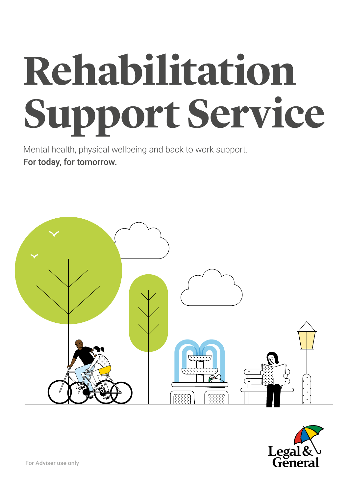# **Rehabilitation Support Service**

Mental health, physical wellbeing and back to work support. For today, for tomorrow.



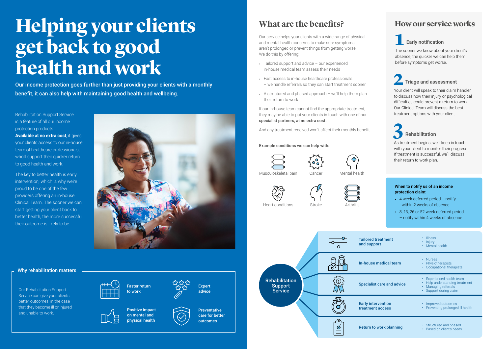#### Example conditions we can help with:

Our service helps your clients with a wide range of physical and mental health concerns to make sure symptoms aren't prolonged or prevent things from getting worse. We do this by offering:





- Tailored support and advice our experienced in-house medical team assess their needs
- Fast access to in-house healthcare professionals – we handle referrals so they can start treatment sooner
- A structured and phased approach we'll help them plan their return to work

**Expert** advice



If our in-house team cannot find the appropriate treatment, they may be able to put your clients in touch with one of our specialist partners, at no extra cost.

> • Structured and phased • Based on client's needs

And any treatment received won't affect their monthly benefit.

# **Helping your clients get back to good health and work**

# **What are the benefits?**

Faster return to work

Mental health







Arthritis

Cancer





Musculoskeletal pain

Heart conditions

Positive impact on mental and physical health

**Preventative** care for better outcomes





Return to work planning

|  | <b>How our service works</b> |  |
|--|------------------------------|--|
|  |                              |  |

|                            | <b>Early notification</b><br>The sooner we know about your client's<br>absence, the quicker we can help them<br>before symptoms get worse.                                                                                                               |  |  |  |  |
|----------------------------|----------------------------------------------------------------------------------------------------------------------------------------------------------------------------------------------------------------------------------------------------------|--|--|--|--|
|                            | Triage and assessment<br>Your client will speak to their claim handler<br>to discuss how their injury or psychological<br>difficulties could prevent a return to work.<br>Our Clinical Team will discuss the best<br>treatment options with your client. |  |  |  |  |
| their return to work plan. | <b>Rehabilitation</b><br>As treatment begins, we'll keep in touch<br>with your client to monitor their progress.<br>If treatment is successful, we'll discuss                                                                                            |  |  |  |  |
|                            |                                                                                                                                                                                                                                                          |  |  |  |  |
| protection claim:          | When to notify us of an income<br>4 week deferred period $-$ notify<br>within 2 weeks of absence<br>8, 13, 26 or 52 week deferred period<br>- notify within 4 weeks of absence                                                                           |  |  |  |  |
| :ment                      | <b>Illness</b><br>Injury<br>Mental health                                                                                                                                                                                                                |  |  |  |  |
| lical team                 | <b>Nurses</b><br>Physiotherapists<br>Occupational therapists                                                                                                                                                                                             |  |  |  |  |
| e and advice               | <b>Experienced health team</b><br>Help understanding treatment<br>Managing referrals<br>Support during claim                                                                                                                                             |  |  |  |  |

Rehabilitation Support Service is a feature of all our income protection products. **Available at no extra cost**, it gives your clients access to our in-house team of healthcare professionals, who'll support their quicker return to good health and work.

The key to better health is early intervention, which is why we're proud to be one of the few providers offering an in-house Clinical Team. The sooner we can start getting your client back to better health, the more successful their outcome is likely to be.



Our income protection goes further than just providing your clients with a monthly benefit, it can also help with maintaining good health and wellbeing.

Our Rehabilitation Support Service can give your clients better outcomes, in the case that they become ill or injured and unable to work.





#### Why rehabilitation matters